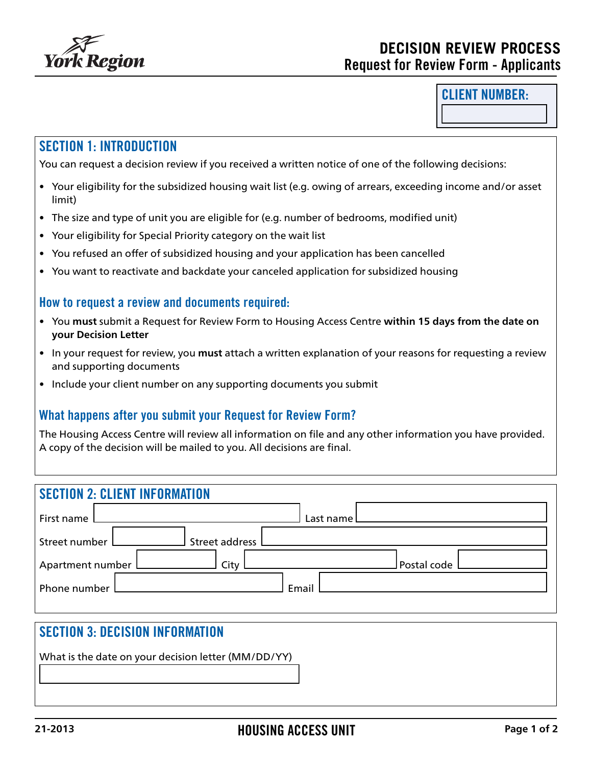

#### CLIENT NUMBER:

# SECTION 1: INTRODUCTION

You can request a decision review if you received a written notice of one of the following decisions:

- Your eligibility for the subsidized housing wait list (e.g. owing of arrears, exceeding income and/or asset limit)
- The size and type of unit you are eligible for (e.g. number of bedrooms, modified unit)
- Your eligibility for Special Priority category on the wait list
- You refused an offer of subsidized housing and your application has been cancelled
- You want to reactivate and backdate your canceled application for subsidized housing

#### How to request a review and documents required:

- You **must** submit a Request for Review Form to Housing Access Centre **within 15 days from the date on your Decision Letter**
- In your request for review, you **must** attach a written explanation of your reasons for requesting a review and supporting documents
- Include your client number on any supporting documents you submit

#### What happens after you submit your Request for Review Form?

The Housing Access Centre will review all information on file and any other information you have provided. A copy of the decision will be mailed to you. All decisions are final.

| <b>SECTION 2: CLIENT INFORMATION</b> |               |  |
|--------------------------------------|---------------|--|
| First name                           | Last name l   |  |
| Street address L<br>Street number L  |               |  |
| Apartment number L<br>City           | Postal code l |  |
| Phone number L                       | Email         |  |

# SECTION 3: DECISION INFORMATION

What is the date on your decision letter (MM/DD/YY)